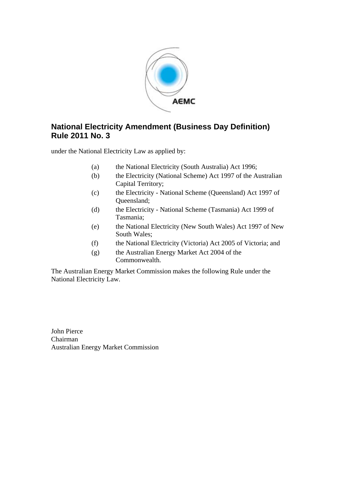

# <span id="page-0-0"></span>**National Electricity Amendment [\(Business Day Definition](#page-0-0)) Rule [2011](#page-0-0) No. [3](#page-0-0)**

under the National Electricity Law as applied by:

- (a) the National Electricity (South Australia) Act 1996;
- (b) the Electricity (National Scheme) Act 1997 of the Australian Capital Territory;
- (c) the Electricity National Scheme (Queensland) Act 1997 of Queensland;
- (d) the Electricity National Scheme (Tasmania) Act 1999 of Tasmania;
- (e) the National Electricity (New South Wales) Act 1997 of New South Wales;
- (f) the National Electricity (Victoria) Act 2005 of Victoria; and
- (g) the Australian Energy Market Act 2004 of the Commonwealth.

The Australian Energy Market Commission makes the following Rule under the National Electricity Law.

[John Pierce](#page-0-0) [Chairman](#page-0-0) Australian Energy Market Commission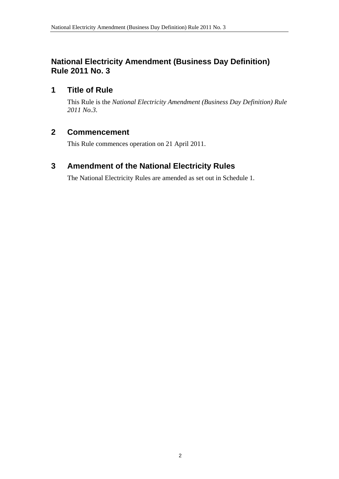# <span id="page-1-0"></span>**National Electricity Amendment [\(Business Day Definition](#page-0-0)) Rule [2011](#page-0-0) No. [3](#page-0-0)**

## **1 Title of Rule**

This Rule is the *National Electricity Amendment [\(Business Day Definition](#page-0-0)) Rule [2011](#page-0-0) No[.3](#page-0-0)*.

## **2 Commencement**

This Rule commences operation on 21 April 2011.

# **3 Amendment of the National Electricity Rules**

The National Electricity Rules are amended as set out in [Schedule 1](#page-2-0).